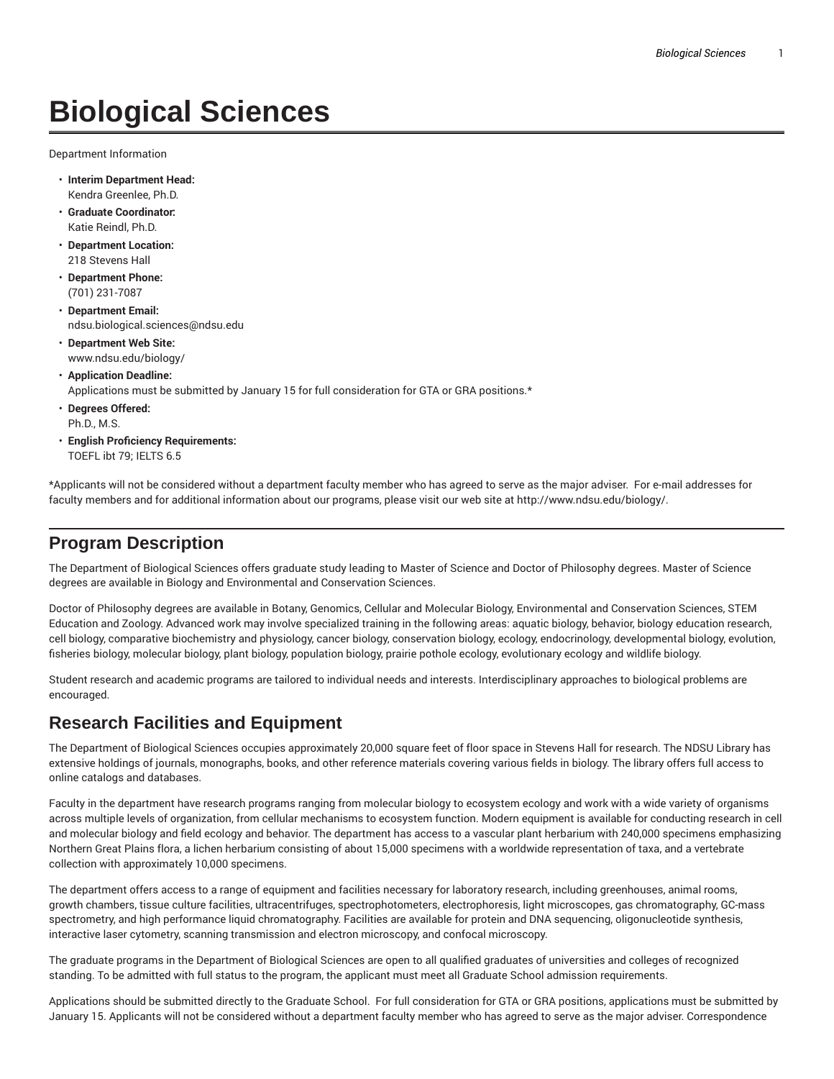# **Biological Sciences**

Department Information

- **Interim Department Head:** Kendra Greenlee, Ph.D.
- **Graduate Coordinator:** Katie Reindl, Ph.D.
- **Department Location:** 218 Stevens Hall
- **Department Phone:** (701) 231-7087
- **Department Email:** ndsu.biological.sciences@ndsu.edu
- **Department Web Site:** www.ndsu.edu/biology/
- **Application Deadline:** Applications must be submitted by January 15 for full consideration for GTA or GRA positions.\*
- **Degrees Offered:** Ph.D., M.S.
- **English Proficiency Requirements:** TOEFL ibt 79; IELTS 6.5

\*Applicants will not be considered without a department faculty member who has agreed to serve as the major adviser. For e-mail addresses for faculty members and for additional information about our programs, please visit our web site at http://www.ndsu.edu/biology/.

## **Program Description**

The Department of Biological Sciences offers graduate study leading to Master of Science and Doctor of Philosophy degrees. Master of Science degrees are available in Biology and Environmental and Conservation Sciences.

Doctor of Philosophy degrees are available in Botany, Genomics, Cellular and Molecular Biology, Environmental and Conservation Sciences, STEM Education and Zoology. Advanced work may involve specialized training in the following areas: aquatic biology, behavior, biology education research, cell biology, comparative biochemistry and physiology, cancer biology, conservation biology, ecology, endocrinology, developmental biology, evolution, fisheries biology, molecular biology, plant biology, population biology, prairie pothole ecology, evolutionary ecology and wildlife biology.

Student research and academic programs are tailored to individual needs and interests. Interdisciplinary approaches to biological problems are encouraged.

## **Research Facilities and Equipment**

The Department of Biological Sciences occupies approximately 20,000 square feet of floor space in Stevens Hall for research. The NDSU Library has extensive holdings of journals, monographs, books, and other reference materials covering various fields in biology. The library offers full access to online catalogs and databases.

Faculty in the department have research programs ranging from molecular biology to ecosystem ecology and work with a wide variety of organisms across multiple levels of organization, from cellular mechanisms to ecosystem function. Modern equipment is available for conducting research in cell and molecular biology and field ecology and behavior. The department has access to a vascular plant herbarium with 240,000 specimens emphasizing Northern Great Plains flora, a lichen herbarium consisting of about 15,000 specimens with a worldwide representation of taxa, and a vertebrate collection with approximately 10,000 specimens.

The department offers access to a range of equipment and facilities necessary for laboratory research, including greenhouses, animal rooms, growth chambers, tissue culture facilities, ultracentrifuges, spectrophotometers, electrophoresis, light microscopes, gas chromatography, GC-mass spectrometry, and high performance liquid chromatography. Facilities are available for protein and DNA sequencing, oligonucleotide synthesis, interactive laser cytometry, scanning transmission and electron microscopy, and confocal microscopy.

The graduate programs in the Department of Biological Sciences are open to all qualified graduates of universities and colleges of recognized standing. To be admitted with full status to the program, the applicant must meet all Graduate School admission requirements.

Applications should be submitted directly to the Graduate School. For full consideration for GTA or GRA positions, applications must be submitted by January 15. Applicants will not be considered without a department faculty member who has agreed to serve as the major adviser. Correspondence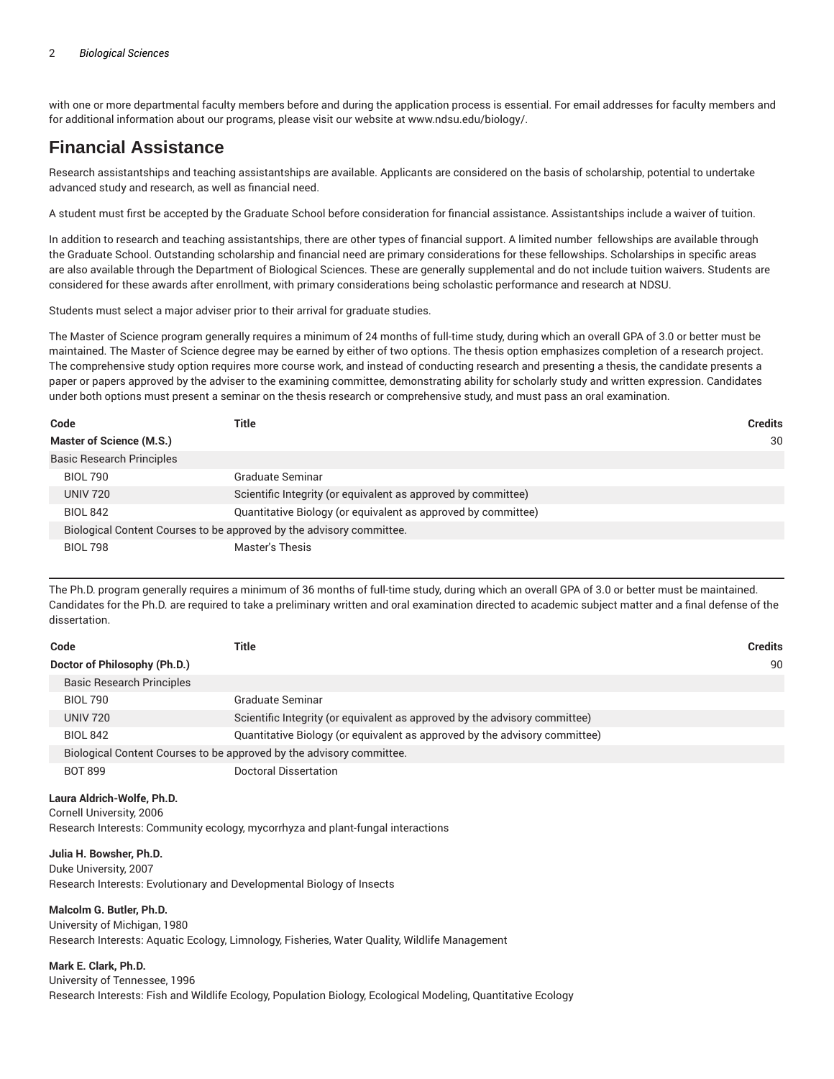with one or more departmental faculty members before and during the application process is essential. For email addresses for faculty members and for additional information about our programs, please visit our website at www.ndsu.edu/biology/.

## **Financial Assistance**

Research assistantships and teaching assistantships are available. Applicants are considered on the basis of scholarship, potential to undertake advanced study and research, as well as financial need.

A student must first be accepted by the Graduate School before consideration for financial assistance. Assistantships include a waiver of tuition.

In addition to research and teaching assistantships, there are other types of financial support. A limited number fellowships are available through the Graduate School. Outstanding scholarship and financial need are primary considerations for these fellowships. Scholarships in specific areas are also available through the Department of Biological Sciences. These are generally supplemental and do not include tuition waivers. Students are considered for these awards after enrollment, with primary considerations being scholastic performance and research at NDSU.

Students must select a major adviser prior to their arrival for graduate studies.

The Master of Science program generally requires a minimum of 24 months of full-time study, during which an overall GPA of 3.0 or better must be maintained. The Master of Science degree may be earned by either of two options. The thesis option emphasizes completion of a research project. The comprehensive study option requires more course work, and instead of conducting research and presenting a thesis, the candidate presents a paper or papers approved by the adviser to the examining committee, demonstrating ability for scholarly study and written expression. Candidates under both options must present a seminar on the thesis research or comprehensive study, and must pass an oral examination.

| Code                             | Title                                                                | <b>Credits</b> |
|----------------------------------|----------------------------------------------------------------------|----------------|
| Master of Science (M.S.)         |                                                                      | 30             |
| <b>Basic Research Principles</b> |                                                                      |                |
| <b>BIOL 790</b>                  | Graduate Seminar                                                     |                |
| <b>UNIV 720</b>                  | Scientific Integrity (or equivalent as approved by committee)        |                |
| <b>BIOL 842</b>                  | Quantitative Biology (or equivalent as approved by committee)        |                |
|                                  | Biological Content Courses to be approved by the advisory committee. |                |
| <b>BIOL 798</b>                  | Master's Thesis                                                      |                |

The Ph.D. program generally requires a minimum of 36 months of full-time study, during which an overall GPA of 3.0 or better must be maintained. Candidates for the Ph.D. are required to take a preliminary written and oral examination directed to academic subject matter and a final defense of the dissertation.

| Code                             | Title                                                                      | <b>Credits</b> |
|----------------------------------|----------------------------------------------------------------------------|----------------|
| Doctor of Philosophy (Ph.D.)     |                                                                            | 90             |
| <b>Basic Research Principles</b> |                                                                            |                |
| <b>BIOL 790</b>                  | Graduate Seminar                                                           |                |
| <b>UNIV 720</b>                  | Scientific Integrity (or equivalent as approved by the advisory committee) |                |
| <b>BIOL 842</b>                  | Quantitative Biology (or equivalent as approved by the advisory committee) |                |
|                                  | Biological Content Courses to be approved by the advisory committee.       |                |
| <b>BOT 899</b>                   | Doctoral Dissertation                                                      |                |

#### **Laura Aldrich-Wolfe, Ph.D.**

Cornell University, 2006 Research Interests: Community ecology, mycorrhyza and plant-fungal interactions

#### **Julia H. Bowsher, Ph.D.**

Duke University, 2007 Research Interests: Evolutionary and Developmental Biology of Insects

#### **Malcolm G. Butler, Ph.D.**

University of Michigan, 1980 Research Interests: Aquatic Ecology, Limnology, Fisheries, Water Quality, Wildlife Management

#### **Mark E. Clark, Ph.D.**

University of Tennessee, 1996 Research Interests: Fish and Wildlife Ecology, Population Biology, Ecological Modeling, Quantitative Ecology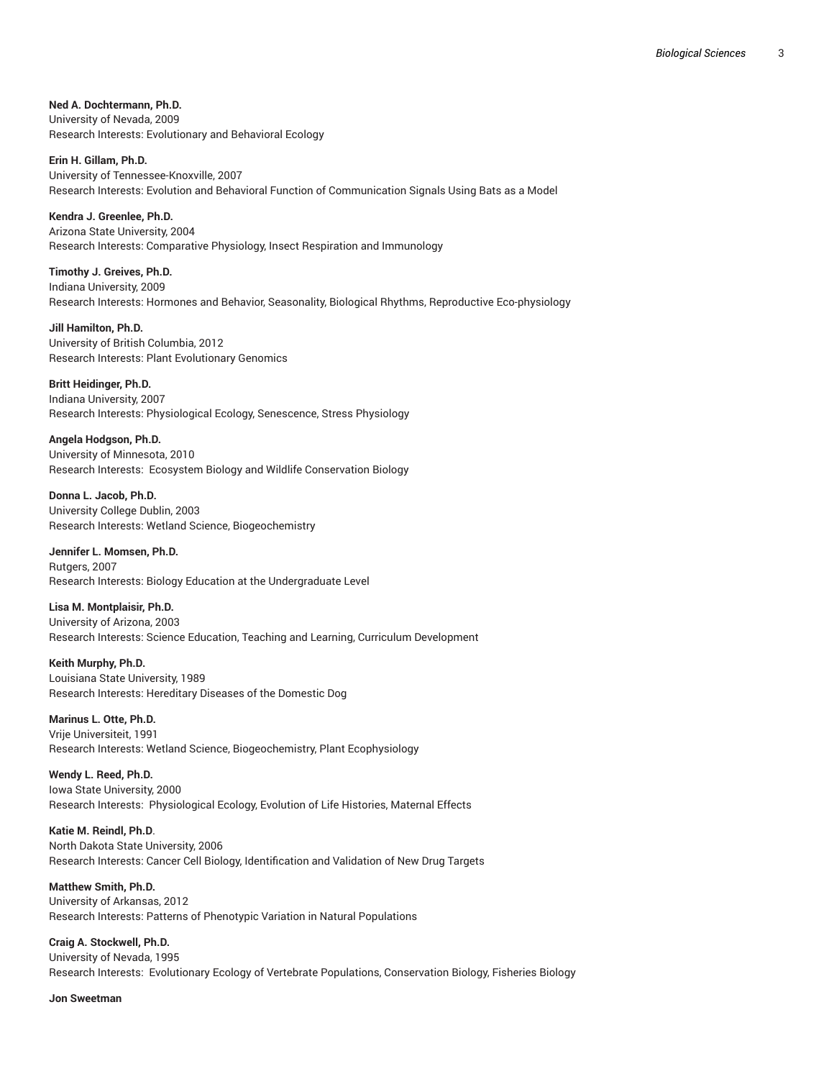**Ned A. Dochtermann, Ph.D.** University of Nevada, 2009 Research Interests: Evolutionary and Behavioral Ecology

**Erin H. Gillam, Ph.D.** University of Tennessee-Knoxville, 2007 Research Interests: Evolution and Behavioral Function of Communication Signals Using Bats as a Model

**Kendra J. Greenlee, Ph.D.** Arizona State University, 2004 Research Interests: Comparative Physiology, Insect Respiration and Immunology

**Timothy J. Greives, Ph.D.** Indiana University, 2009 Research Interests: Hormones and Behavior, Seasonality, Biological Rhythms, Reproductive Eco-physiology

**Jill Hamilton, Ph.D.** University of British Columbia, 2012 Research Interests: Plant Evolutionary Genomics

**Britt Heidinger, Ph.D.** Indiana University, 2007 Research Interests: Physiological Ecology, Senescence, Stress Physiology

**Angela Hodgson, Ph.D.** University of Minnesota, 2010 Research Interests: Ecosystem Biology and Wildlife Conservation Biology

**Donna L. Jacob, Ph.D.** University College Dublin, 2003 Research Interests: Wetland Science, Biogeochemistry

**Jennifer L. Momsen, Ph.D.** Rutgers, 2007 Research Interests: Biology Education at the Undergraduate Level

**Lisa M. Montplaisir, Ph.D.** University of Arizona, 2003 Research Interests: Science Education, Teaching and Learning, Curriculum Development

**Keith Murphy, Ph.D.** Louisiana State University, 1989 Research Interests: Hereditary Diseases of the Domestic Dog

**Marinus L. Otte, Ph.D.** Vrije Universiteit, 1991 Research Interests: Wetland Science, Biogeochemistry, Plant Ecophysiology

**Wendy L. Reed, Ph.D.** Iowa State University, 2000 Research Interests: Physiological Ecology, Evolution of Life Histories, Maternal Effects

**Katie M. Reindl, Ph.D**. North Dakota State University, 2006 Research Interests: Cancer Cell Biology, Identification and Validation of New Drug Targets

**Matthew Smith, Ph.D.** University of Arkansas, 2012 Research Interests: Patterns of Phenotypic Variation in Natural Populations

**Craig A. Stockwell, Ph.D.** University of Nevada, 1995 Research Interests: Evolutionary Ecology of Vertebrate Populations, Conservation Biology, Fisheries Biology

**Jon Sweetman**